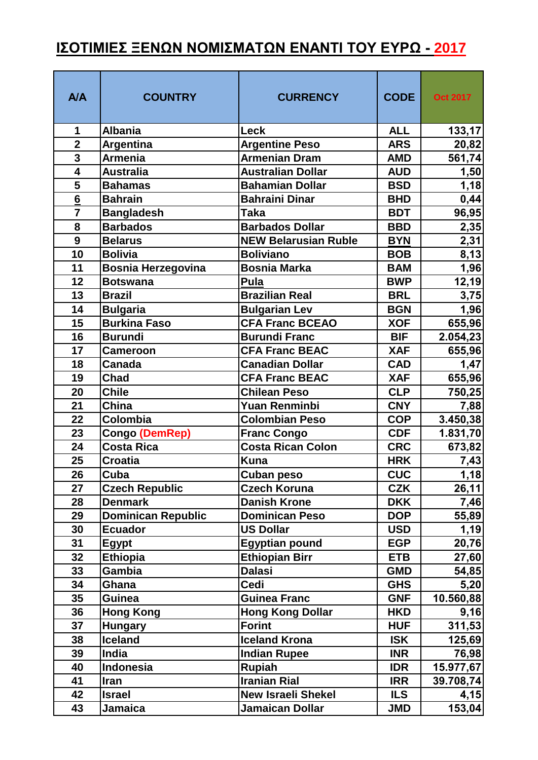## <u>ΙΣΟΤΙΜΙΕΣ ΞΕΝΩΝ ΝΟΜΙΣΜΑΤΩΝ ΕΝΑΝΤΙ ΤΟΥ ΕΥΡΩ - 2017</u>

| <b>A/A</b>              | <b>COUNTRY</b>            | <b>CURRENCY</b>             | <b>CODE</b> | <b>Oct 2017</b> |
|-------------------------|---------------------------|-----------------------------|-------------|-----------------|
| 1                       | <b>Albania</b>            | <b>Leck</b>                 | <b>ALL</b>  | 133,17          |
| $\overline{2}$          | <b>Argentina</b>          | <b>Argentine Peso</b>       | <b>ARS</b>  | 20,82           |
| $\overline{\mathbf{3}}$ | <b>Armenia</b>            | <b>Armenian Dram</b>        | <b>AMD</b>  | 561,74          |
| 4                       | <b>Australia</b>          | <b>Australian Dollar</b>    | <b>AUD</b>  | 1,50            |
| 5                       | <b>Bahamas</b>            | <b>Bahamian Dollar</b>      | <b>BSD</b>  | 1,18            |
| $6\overline{6}$         | <b>Bahrain</b>            | <b>Bahraini Dinar</b>       | <b>BHD</b>  | 0,44            |
| $\overline{7}$          | <b>Bangladesh</b>         | <b>Taka</b>                 | <b>BDT</b>  | 96,95           |
| 8                       | <b>Barbados</b>           | <b>Barbados Dollar</b>      | <b>BBD</b>  | 2,35            |
| 9                       | <b>Belarus</b>            | <b>NEW Belarusian Ruble</b> | <b>BYN</b>  | 2,31            |
| 10                      | <b>Bolivia</b>            | <b>Boliviano</b>            | <b>BOB</b>  | 8,13            |
| 11                      | <b>Bosnia Herzegovina</b> | <b>Bosnia Marka</b>         | <b>BAM</b>  | 1,96            |
| 12                      | <b>Botswana</b>           | <b>Pula</b>                 | <b>BWP</b>  | 12,19           |
| 13                      | <b>Brazil</b>             | <b>Brazilian Real</b>       | <b>BRL</b>  | 3,75            |
| 14                      | <b>Bulgaria</b>           | <b>Bulgarian Lev</b>        | <b>BGN</b>  | 1,96            |
| 15                      | <b>Burkina Faso</b>       | <b>CFA Franc BCEAO</b>      | <b>XOF</b>  | 655,96          |
| 16                      | <b>Burundi</b>            | <b>Burundi Franc</b>        | <b>BIF</b>  | 2.054,23        |
| 17                      | <b>Cameroon</b>           | <b>CFA Franc BEAC</b>       | <b>XAF</b>  | 655,96          |
| 18                      | <b>Canada</b>             | <b>Canadian Dollar</b>      | <b>CAD</b>  | 1,47            |
| 19                      | <b>Chad</b>               | <b>CFA Franc BEAC</b>       | <b>XAF</b>  | 655,96          |
| 20                      | <b>Chile</b>              | <b>Chilean Peso</b>         | <b>CLP</b>  | 750,25          |
| 21                      | China                     | <b>Yuan Renminbi</b>        | <b>CNY</b>  | 7,88            |
| 22                      | Colombia                  | <b>Colombian Peso</b>       | <b>COP</b>  | 3.450,38        |
| 23                      | Congo (DemRep)            | <b>Franc Congo</b>          | <b>CDF</b>  | 1.831,70        |
| 24                      | <b>Costa Rica</b>         | <b>Costa Rican Colon</b>    | <b>CRC</b>  | 673,82          |
| 25                      | <b>Croatia</b>            | <b>Kuna</b>                 | <b>HRK</b>  | <u>7,43  </u>   |
| 26                      | Cuba                      | Cuban peso                  | <b>CUC</b>  | 1,18            |
| 27                      | <b>Czech Republic</b>     | <b>Czech Koruna</b>         | <b>CZK</b>  | 26,11           |
| 28                      | <b>Denmark</b>            | <b>Danish Krone</b>         | <b>DKK</b>  | 7,46            |
| 29                      | <b>Dominican Republic</b> | <b>Dominican Peso</b>       | <b>DOP</b>  | 55,89           |
| 30                      | <b>Ecuador</b>            | <b>US Dollar</b>            | <b>USD</b>  | 1,19            |
| 31                      | <b>Egypt</b>              | <b>Egyptian pound</b>       | <b>EGP</b>  | 20,76           |
| 32                      | <b>Ethiopia</b>           | <b>Ethiopian Birr</b>       | <b>ETB</b>  | 27,60           |
| 33                      | Gambia                    | <b>Dalasi</b>               | <b>GMD</b>  | 54,85           |
| 34                      | Ghana                     | Cedi                        | <b>GHS</b>  | 5,20            |
| 35                      | Guinea                    | <b>Guinea Franc</b>         | <b>GNF</b>  | 10.560,88       |
| 36                      | <b>Hong Kong</b>          | <b>Hong Kong Dollar</b>     | <b>HKD</b>  | 9,16            |
| 37                      | <b>Hungary</b>            | <b>Forint</b>               | <b>HUF</b>  | 311,53          |
| 38                      | <b>Iceland</b>            | <b>Iceland Krona</b>        | <b>ISK</b>  | 125,69          |
| 39                      | <b>India</b>              | <b>Indian Rupee</b>         | <b>INR</b>  | 76,98           |
| 40                      | Indonesia                 | <b>Rupiah</b>               | <b>IDR</b>  | 15.977,67       |
| 41                      | Iran                      | <b>Iranian Rial</b>         | <b>IRR</b>  | 39.708,74       |
| 42                      | <b>Israel</b>             | <b>New Israeli Shekel</b>   | <b>ILS</b>  | 4,15            |
| 43                      | Jamaica                   | <b>Jamaican Dollar</b>      | <b>JMD</b>  | 153,04          |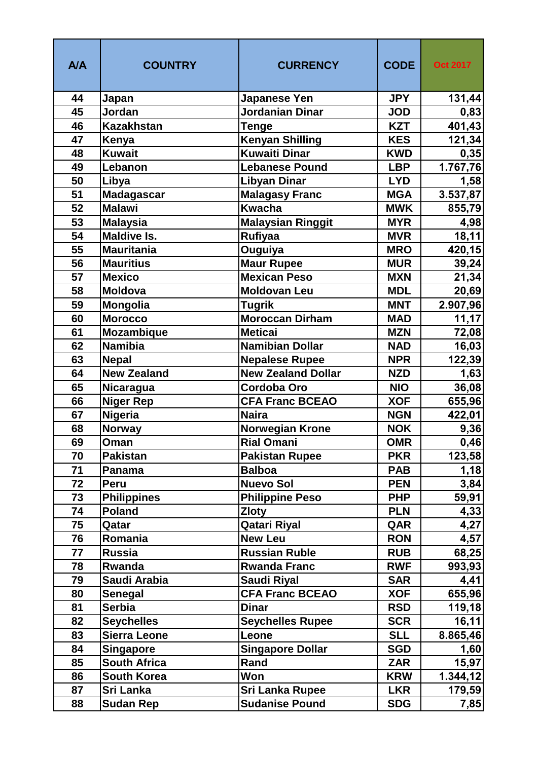| A/A | <b>COUNTRY</b>      | <b>CURRENCY</b>           | <b>CODE</b> | <b>Oct 2017</b> |
|-----|---------------------|---------------------------|-------------|-----------------|
| 44  | Japan               | Japanese Yen              | <b>JPY</b>  | 131,44          |
| 45  | Jordan              | Jordanian Dinar           | <b>JOD</b>  | 0,83            |
| 46  | <b>Kazakhstan</b>   | <b>Tenge</b>              | <b>KZT</b>  | 401,43          |
| 47  | Kenya               | <b>Kenyan Shilling</b>    | <b>KES</b>  | 121,34          |
| 48  | <b>Kuwait</b>       | <b>Kuwaiti Dinar</b>      | <b>KWD</b>  | 0,35            |
| 49  | Lebanon             | <b>Lebanese Pound</b>     | <b>LBP</b>  | 1.767,76        |
| 50  | Libya               | <b>Libyan Dinar</b>       | <b>LYD</b>  | 1,58            |
| 51  | <b>Madagascar</b>   | <b>Malagasy Franc</b>     | <b>MGA</b>  | 3.537,87        |
| 52  | <b>Malawi</b>       | <b>Kwacha</b>             | <b>MWK</b>  | 855,79          |
| 53  | <b>Malaysia</b>     | <b>Malaysian Ringgit</b>  | <b>MYR</b>  | 4,98            |
| 54  | <b>Maldive Is.</b>  | <b>Rufiyaa</b>            | <b>MVR</b>  | 18,11           |
| 55  | <b>Mauritania</b>   | Ouguiya                   | <b>MRO</b>  | 420,15          |
| 56  | <b>Mauritius</b>    | <b>Maur Rupee</b>         | <b>MUR</b>  | 39,24           |
| 57  | <b>Mexico</b>       | <b>Mexican Peso</b>       | <b>MXN</b>  | 21,34           |
| 58  | Moldova             | <b>Moldovan Leu</b>       | <b>MDL</b>  | 20,69           |
| 59  | <b>Mongolia</b>     | <b>Tugrik</b>             | <b>MNT</b>  | 2.907,96        |
| 60  | <b>Morocco</b>      | <b>Moroccan Dirham</b>    | <b>MAD</b>  | 11,17           |
| 61  | <b>Mozambique</b>   | <b>Meticai</b>            | <b>MZN</b>  | 72,08           |
| 62  | <b>Namibia</b>      | <b>Namibian Dollar</b>    | <b>NAD</b>  | 16,03           |
| 63  | <b>Nepal</b>        | <b>Nepalese Rupee</b>     | <b>NPR</b>  | 122,39          |
| 64  | <b>New Zealand</b>  | <b>New Zealand Dollar</b> | <b>NZD</b>  | 1,63            |
| 65  | <b>Nicaragua</b>    | <b>Cordoba Oro</b>        | <b>NIO</b>  | 36,08           |
| 66  | <b>Niger Rep</b>    | <b>CFA Franc BCEAO</b>    | <b>XOF</b>  | 655,96          |
| 67  | <b>Nigeria</b>      | <b>Naira</b>              | <b>NGN</b>  | 422,01          |
| 68  | <b>Norway</b>       | <b>Norwegian Krone</b>    | <b>NOK</b>  | 9,36            |
| 69  | Oman                | <b>Rial Omani</b>         | <b>OMR</b>  | 0,46            |
| 70  | <b>Pakistan</b>     | <b>Pakistan Rupee</b>     | <b>PKR</b>  | 123,58          |
| 71  | Panama              | <b>Balboa</b>             | <b>PAB</b>  | 1,18            |
| 72  | Peru                | <b>Nuevo Sol</b>          | <b>PEN</b>  | 3,84            |
| 73  | <b>Philippines</b>  | <b>Philippine Peso</b>    | <b>PHP</b>  | 59,91           |
| 74  | <b>Poland</b>       | <b>Zloty</b>              | <b>PLN</b>  | 4,33            |
| 75  | Qatar               | <b>Qatari Riyal</b>       | QAR         | 4,27            |
| 76  | Romania             | <b>New Leu</b>            | <b>RON</b>  | 4,57            |
| 77  | <b>Russia</b>       | <b>Russian Ruble</b>      | <b>RUB</b>  | 68,25           |
| 78  | Rwanda              | <b>Rwanda Franc</b>       | <b>RWF</b>  | 993,93          |
| 79  | Saudi Arabia        | Saudi Riyal               | <b>SAR</b>  | 4,41            |
| 80  | <b>Senegal</b>      | <b>CFA Franc BCEAO</b>    | <b>XOF</b>  | 655,96          |
| 81  | <b>Serbia</b>       | <b>Dinar</b>              | <b>RSD</b>  | 119,18          |
| 82  | <b>Seychelles</b>   | <b>Seychelles Rupee</b>   | <b>SCR</b>  | 16, 11          |
| 83  | Sierra Leone        | Leone                     | <b>SLL</b>  | 8.865,46        |
| 84  | Singapore           | <b>Singapore Dollar</b>   | <b>SGD</b>  | 1,60            |
| 85  | <b>South Africa</b> | Rand                      | <b>ZAR</b>  | 15,97           |
| 86  | <b>South Korea</b>  | Won                       | <b>KRW</b>  | 1.344, 12       |
| 87  | Sri Lanka           | Sri Lanka Rupee           | <b>LKR</b>  | 179,59          |
| 88  | <b>Sudan Rep</b>    | <b>Sudanise Pound</b>     | <b>SDG</b>  | 7,85            |